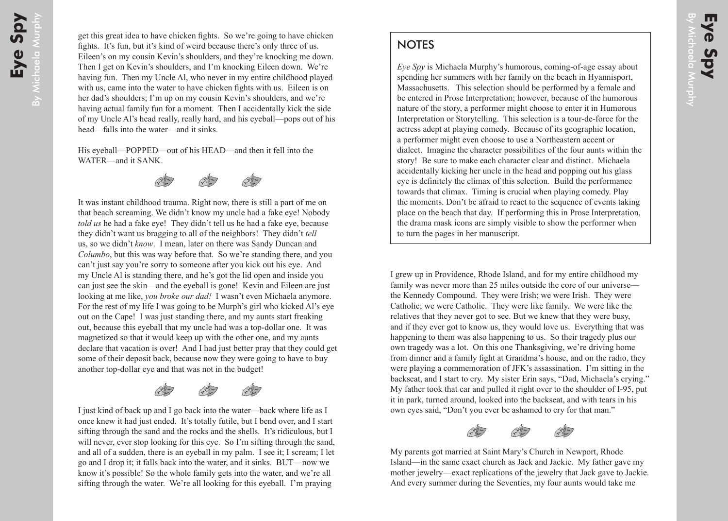## **NOTES**

*Eye Spy* is Michaela Murphy's humorous, coming-of-age essay about spending her summers with her family on the beach in Hyannisport, Massachusetts. This selection should be performed by a female and be entered in Prose Interpretation; however, because of the humorous nature of the story, a performer might choose to enter it in Humorous Interpretation or Storytelling. This selection is a tour-de-force for the actress adept at playing comedy. Because of its geographic location, a performer might even choose to use a Northeastern accent or dialect. Imagine the character possibilities of the four aunts within the story! Be sure to make each character clear and distinct. Michaela accidentally kicking her uncle in the head and popping out his glass eye is definitely the climax of this selection. Build the performance towards that climax. Timing is crucial when playing comedy. Play the moments. Don't be afraid to react to the sequence of events taking place on the beach that day. If performing this in Prose Interpretation, the drama mask icons are simply visible to show the performer when to turn the pages in her manuscript.

I grew up in Providence, Rhode Island, and for my entire childhood my family was never more than 25 miles outside the core of our universe the Kennedy Compound. They were Irish; we were Irish. They were Catholic; we were Catholic. They were like family. We were like the relatives that they never got to see. But we knew that they were busy, and if they ever got to know us, they would love us. Everything that was happening to them was also happening to us. So their tragedy plus our own tragedy was a lot. On this one Thanksgiving, we're driving home from dinner and a family fight at Grandma's house, and on the radio, they were playing a commemoration of JFK's assassination. I'm sitting in the backseat, and I start to cry. My sister Erin says, "Dad, Michaela's crying." My father took that car and pulled it right over to the shoulder of I-95, put it in park, turned around, looked into the backseat, and with tears in his own eyes said, "Don't you ever be ashamed to cry for that man."



My parents got married at Saint Mary's Church in Newport, Rhode Island—in the same exact church as Jack and Jackie. My father gave my mother jewelry—exact replications of the jewelry that Jack gave to Jackie. And every summer during the Seventies, my four aunts would take me